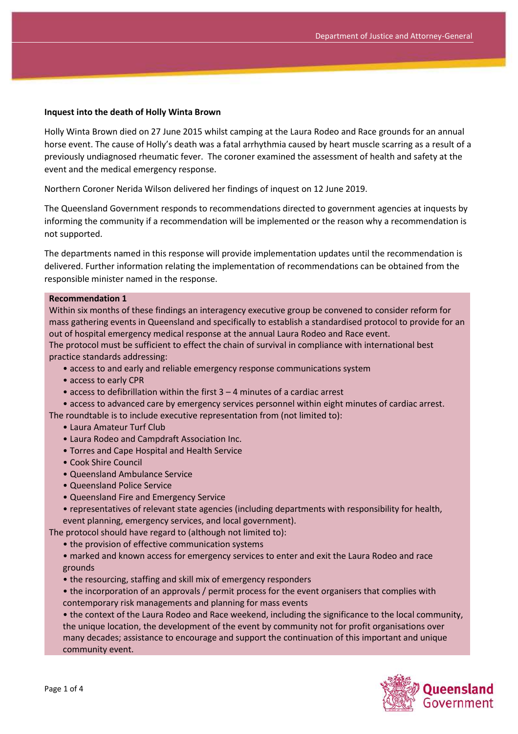#### **Inquest into the death of Holly Winta Brown**

Holly Winta Brown died on 27 June 2015 whilst camping at the Laura Rodeo and Race grounds for an annual horse event. The cause of Holly's death was a fatal arrhythmia caused by heart muscle scarring as a result of a previously undiagnosed rheumatic fever. The coroner examined the assessment of health and safety at the event and the medical emergency response.

Northern Coroner Nerida Wilson delivered her findings of inquest on 12 June 2019.

The Queensland Government responds to recommendations directed to government agencies at inquests by informing the community if a recommendation will be implemented or the reason why a recommendation is not supported.

The departments named in this response will provide implementation updates until the recommendation is delivered. Further information relating the implementation of recommendations can be obtained from the responsible minister named in the response.

#### **Recommendation 1**

Within six months of these findings an interagency executive group be convened to consider reform for mass gathering events in Queensland and specifically to establish a standardised protocol to provide for an out of hospital emergency medical response at the annual Laura Rodeo and Race event.

The protocol must be sufficient to effect the chain of survival in compliance with international best practice standards addressing:

- access to and early and reliable emergency response communications system
- access to early CPR
- access to defibrillation within the first 3 4 minutes of a cardiac arrest
- access to advanced care by emergency services personnel within eight minutes of cardiac arrest.

The roundtable is to include executive representation from (not limited to):

- Laura Amateur Turf Club
- Laura Rodeo and Campdraft Association Inc.
- Torres and Cape Hospital and Health Service
- Cook Shire Council
- Queensland Ambulance Service
- Queensland Police Service
- Queensland Fire and Emergency Service
- representatives of relevant state agencies (including departments with responsibility for health, event planning, emergency services, and local government).

The protocol should have regard to (although not limited to):

• the provision of effective communication systems

• marked and known access for emergency services to enter and exit the Laura Rodeo and race grounds

• the resourcing, staffing and skill mix of emergency responders

• the incorporation of an approvals / permit process for the event organisers that complies with contemporary risk managements and planning for mass events

• the context of the Laura Rodeo and Race weekend, including the significance to the local community, the unique location, the development of the event by community not for profit organisations over many decades; assistance to encourage and support the continuation of this important and unique community event.

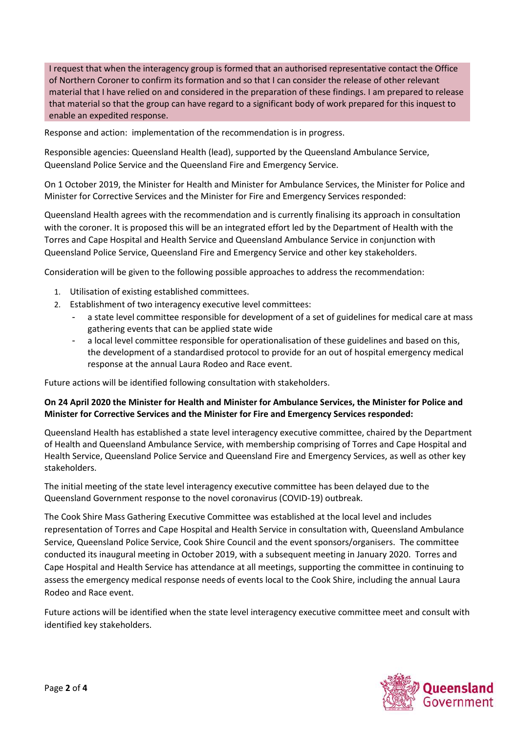I request that when the interagency group is formed that an authorised representative contact the Office of Northern Coroner to confirm its formation and so that I can consider the release of other relevant material that I have relied on and considered in the preparation of these findings. I am prepared to release that material so that the group can have regard to a significant body of work prepared for this inquest to enable an expedited response.

Response and action: implementation of the recommendation is in progress.

Responsible agencies: Queensland Health (lead), supported by the Queensland Ambulance Service, Queensland Police Service and the Queensland Fire and Emergency Service.

On 1 October 2019, the Minister for Health and Minister for Ambulance Services, the Minister for Police and Minister for Corrective Services and the Minister for Fire and Emergency Services responded:

Queensland Health agrees with the recommendation and is currently finalising its approach in consultation with the coroner. It is proposed this will be an integrated effort led by the Department of Health with the Torres and Cape Hospital and Health Service and Queensland Ambulance Service in conjunction with Queensland Police Service, Queensland Fire and Emergency Service and other key stakeholders.

Consideration will be given to the following possible approaches to address the recommendation:

- 1. Utilisation of existing established committees.
- 2. Establishment of two interagency executive level committees:
	- a state level committee responsible for development of a set of guidelines for medical care at mass gathering events that can be applied state wide
	- a local level committee responsible for operationalisation of these guidelines and based on this, the development of a standardised protocol to provide for an out of hospital emergency medical response at the annual Laura Rodeo and Race event.

Future actions will be identified following consultation with stakeholders.

### **On 24 April 2020 the Minister for Health and Minister for Ambulance Services, the Minister for Police and Minister for Corrective Services and the Minister for Fire and Emergency Services responded:**

Queensland Health has established a state level interagency executive committee, chaired by the Department of Health and Queensland Ambulance Service, with membership comprising of Torres and Cape Hospital and Health Service, Queensland Police Service and Queensland Fire and Emergency Services, as well as other key stakeholders.

The initial meeting of the state level interagency executive committee has been delayed due to the Queensland Government response to the novel coronavirus (COVID-19) outbreak.

The Cook Shire Mass Gathering Executive Committee was established at the local level and includes representation of Torres and Cape Hospital and Health Service in consultation with, Queensland Ambulance Service, Queensland Police Service, Cook Shire Council and the event sponsors/organisers. The committee conducted its inaugural meeting in October 2019, with a subsequent meeting in January 2020. Torres and Cape Hospital and Health Service has attendance at all meetings, supporting the committee in continuing to assess the emergency medical response needs of events local to the Cook Shire, including the annual Laura Rodeo and Race event.

Future actions will be identified when the state level interagency executive committee meet and consult with identified key stakeholders.

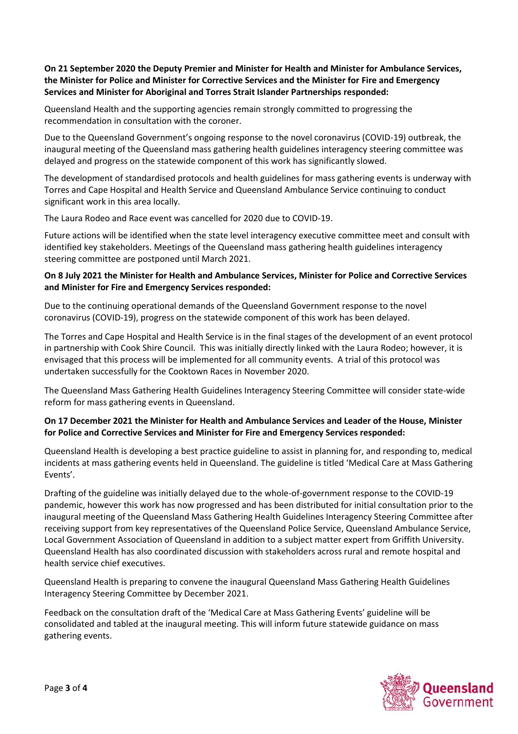# **On 21 September 2020 the Deputy Premier and Minister for Health and Minister for Ambulance Services, the Minister for Police and Minister for Corrective Services and the Minister for Fire and Emergency Services and Minister for Aboriginal and Torres Strait Islander Partnerships responded:**

Queensland Health and the supporting agencies remain strongly committed to progressing the recommendation in consultation with the coroner.

Due to the Queensland Government's ongoing response to the novel coronavirus (COVID-19) outbreak, the inaugural meeting of the Queensland mass gathering health guidelines interagency steering committee was delayed and progress on the statewide component of this work has significantly slowed.

The development of standardised protocols and health guidelines for mass gathering events is underway with Torres and Cape Hospital and Health Service and Queensland Ambulance Service continuing to conduct significant work in this area locally.

The Laura Rodeo and Race event was cancelled for 2020 due to COVID-19.

Future actions will be identified when the state level interagency executive committee meet and consult with identified key stakeholders. Meetings of the Queensland mass gathering health guidelines interagency steering committee are postponed until March 2021.

## **On 8 July 2021 the Minister for Health and Ambulance Services, Minister for Police and Corrective Services and Minister for Fire and Emergency Services responded:**

Due to the continuing operational demands of the Queensland Government response to the novel coronavirus (COVID-19), progress on the statewide component of this work has been delayed.

The Torres and Cape Hospital and Health Service is in the final stages of the development of an event protocol in partnership with Cook Shire Council. This was initially directly linked with the Laura Rodeo; however, it is envisaged that this process will be implemented for all community events. A trial of this protocol was undertaken successfully for the Cooktown Races in November 2020.

The Queensland Mass Gathering Health Guidelines Interagency Steering Committee will consider state-wide reform for mass gathering events in Queensland.

# **On 17 December 2021 the Minister for Health and Ambulance Services and Leader of the House, Minister for Police and Corrective Services and Minister for Fire and Emergency Services responded:**

Queensland Health is developing a best practice guideline to assist in planning for, and responding to, medical incidents at mass gathering events held in Queensland. The guideline is titled 'Medical Care at Mass Gathering Events'.

Drafting of the guideline was initially delayed due to the whole-of-government response to the COVID-19 pandemic, however this work has now progressed and has been distributed for initial consultation prior to the inaugural meeting of the Queensland Mass Gathering Health Guidelines Interagency Steering Committee after receiving support from key representatives of the Queensland Police Service, Queensland Ambulance Service, Local Government Association of Queensland in addition to a subject matter expert from Griffith University. Queensland Health has also coordinated discussion with stakeholders across rural and remote hospital and health service chief executives.

Queensland Health is preparing to convene the inaugural Queensland Mass Gathering Health Guidelines Interagency Steering Committee by December 2021.

Feedback on the consultation draft of the 'Medical Care at Mass Gathering Events' guideline will be consolidated and tabled at the inaugural meeting. This will inform future statewide guidance on mass gathering events.